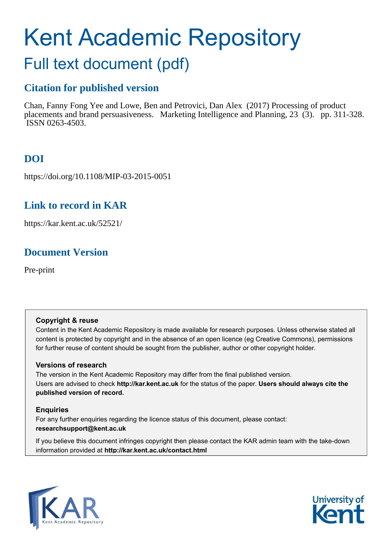# Kent Academic Repository

## Full text document (pdf)

## **Citation for published version**

Chan, Fanny Fong Yee and Lowe, Ben and Petrovici, Dan Alex (2017) Processing of product placements and brand persuasiveness. Marketing Intelligence and Planning, 23 (3). pp. 311-328. ISSN 0263-4503.

## **DOI**

https://doi.org/10.1108/MIP-03-2015-0051

## **Link to record in KAR**

https://kar.kent.ac.uk/52521/

## **Document Version**

Pre-print

#### **Copyright & reuse**

Content in the Kent Academic Repository is made available for research purposes. Unless otherwise stated all content is protected by copyright and in the absence of an open licence (eg Creative Commons), permissions for further reuse of content should be sought from the publisher, author or other copyright holder.

#### **Versions of research**

The version in the Kent Academic Repository may differ from the final published version. Users are advised to check **http://kar.kent.ac.uk** for the status of the paper. **Users should always cite the published version of record.**

#### **Enquiries**

For any further enquiries regarding the licence status of this document, please contact: **researchsupport@kent.ac.uk**

If you believe this document infringes copyright then please contact the KAR admin team with the take-down information provided at **http://kar.kent.ac.uk/contact.html**



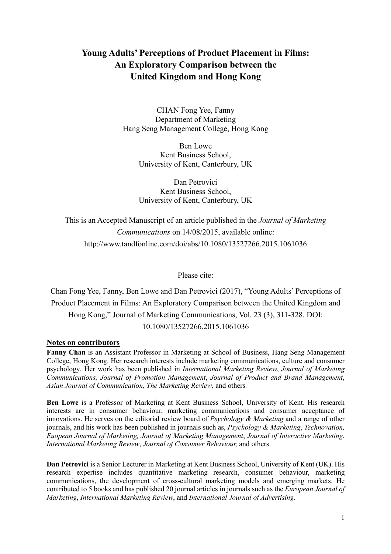### **Young Adults' Perceptions of Product Placement in Films: An Exploratory Comparison between the United Kingdom and Hong Kong**

CHAN Fong Yee, Fanny Department of Marketing Hang Seng Management College, Hong Kong

> Ben Lowe Kent Business School, University of Kent, Canterbury, UK

> Dan Petrovici Kent Business School, University of Kent, Canterbury, UK

This is an Accepted Manuscript of an article published in the *Journal of Marketing Communications* on 14/08/2015, available online: http://www.tandfonline.com/doi/abs/10.1080/13527266.2015.1061036

Please cite:

Chan Fong Yee, Fanny, Ben Lowe and Dan Petrovici (2017), "Young Adults' Perceptions of Product Placement in Films: An Exploratory Comparison between the United Kingdom and Hong Kong," Journal of Marketing Communications, Vol. 23 (3), 311-328. DOI: 10.1080/13527266.2015.1061036

#### **Notes on contributors**

**Fanny Chan** is an Assistant Professor in Marketing at School of Business, Hang Seng Management College, Hong Kong. Her research interests include marketing communications, culture and consumer psychology. Her work has been published in *International Marketing Review*, *Journal of Marketing Communications, Journal of Promotion Management*, *Journal of Product and Brand Management*, *Asian Journal of Communication, The Marketing Review,* and others*.* 

**Ben Lowe** is a Professor of Marketing at Kent Business School, University of Kent. His research interests are in consumer behaviour, marketing communications and consumer acceptance of innovations. He serves on the editorial review board of *Psychology & Marketing* and a range of other journals, and his work has been published in journals such as, *Psychology & Marketing*, *Technovation, Euopean Journal of Marketing, Journal of Marketing Management*, *Journal of Interactive Marketing*, *International Marketing Review*, *Journal of Consumer Behaviour,* and others.

**Dan Petrovici** is a Senior Lecturer in Marketing at Kent Business School, University of Kent (UK). His research expertise includes quantitative marketing research, consumer behaviour, marketing communications, the development of cross-cultural marketing models and emerging markets. He contributed to 5 books and has published 20 journal articles in journals such as the *European Journal of Marketing*, *International Marketing Review*, and *International Journal of Advertising*.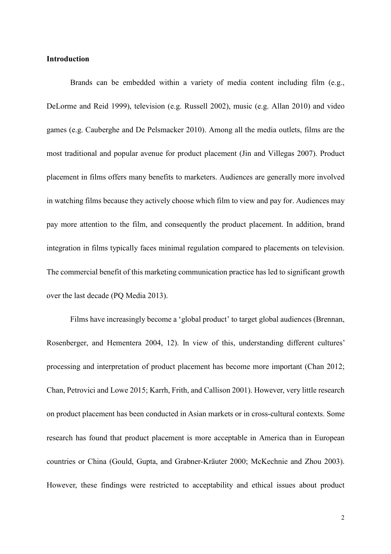#### **Introduction**

Brands can be embedded within a variety of media content including film (e.g., DeLorme and Reid 1999), television (e.g. Russell 2002), music (e.g. Allan 2010) and video games (e.g. Cauberghe and De Pelsmacker 2010). Among all the media outlets, films are the most traditional and popular avenue for product placement (Jin and Villegas 2007). Product placement in films offers many benefits to marketers. Audiences are generally more involved in watching films because they actively choose which film to view and pay for. Audiences may pay more attention to the film, and consequently the product placement. In addition, brand integration in films typically faces minimal regulation compared to placements on television. The commercial benefit of this marketing communication practice has led to significant growth over the last decade (PQ Media 2013).

Films have increasingly become a 'global product' to target global audiences (Brennan, Rosenberger, and Hementera 2004, 12). In view of this, understanding different cultures' processing and interpretation of product placement has become more important (Chan 2012; Chan, Petrovici and Lowe 2015; Karrh, Frith, and Callison 2001). However, very little research on product placement has been conducted in Asian markets or in cross-cultural contexts. Some research has found that product placement is more acceptable in America than in European countries or China (Gould, Gupta, and Grabner-Kräuter 2000; McKechnie and Zhou 2003). However, these findings were restricted to acceptability and ethical issues about product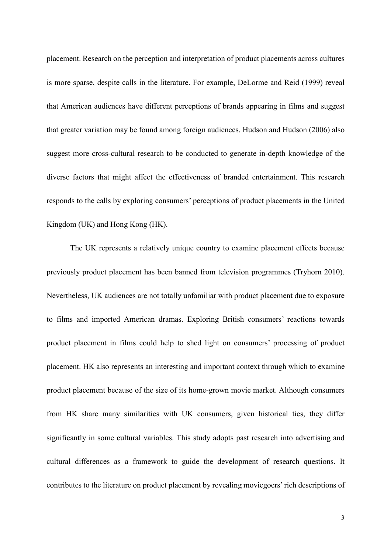placement. Research on the perception and interpretation of product placements across cultures is more sparse, despite calls in the literature. For example, DeLorme and Reid (1999) reveal that American audiences have different perceptions of brands appearing in films and suggest that greater variation may be found among foreign audiences. Hudson and Hudson (2006) also suggest more cross-cultural research to be conducted to generate in-depth knowledge of the diverse factors that might affect the effectiveness of branded entertainment. This research responds to the calls by exploring consumers' perceptions of product placements in the United Kingdom (UK) and Hong Kong (HK).

The UK represents a relatively unique country to examine placement effects because previously product placement has been banned from television programmes (Tryhorn 2010). Nevertheless, UK audiences are not totally unfamiliar with product placement due to exposure to films and imported American dramas. Exploring British consumers' reactions towards product placement in films could help to shed light on consumers' processing of product placement. HK also represents an interesting and important context through which to examine product placement because of the size of its home-grown movie market. Although consumers from HK share many similarities with UK consumers, given historical ties, they differ significantly in some cultural variables. This study adopts past research into advertising and cultural differences as a framework to guide the development of research questions. It contributes to the literature on product placement by revealing moviegoers' rich descriptions of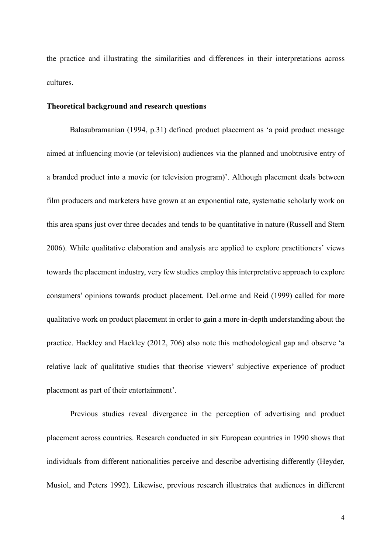the practice and illustrating the similarities and differences in their interpretations across cultures.

#### **Theoretical background and research questions**

Balasubramanian (1994, p.31) defined product placement as 'a paid product message aimed at influencing movie (or television) audiences via the planned and unobtrusive entry of a branded product into a movie (or television program)'. Although placement deals between film producers and marketers have grown at an exponential rate, systematic scholarly work on this area spans just over three decades and tends to be quantitative in nature (Russell and Stern 2006). While qualitative elaboration and analysis are applied to explore practitioners' views towards the placement industry, very few studies employ this interpretative approach to explore consumers' opinions towards product placement. DeLorme and Reid (1999) called for more qualitative work on product placement in order to gain a more in-depth understanding about the practice. Hackley and Hackley (2012, 706) also note this methodological gap and observe 'a relative lack of qualitative studies that theorise viewers' subjective experience of product placement as part of their entertainment'.

Previous studies reveal divergence in the perception of advertising and product placement across countries. Research conducted in six European countries in 1990 shows that individuals from different nationalities perceive and describe advertising differently (Heyder, Musiol, and Peters 1992). Likewise, previous research illustrates that audiences in different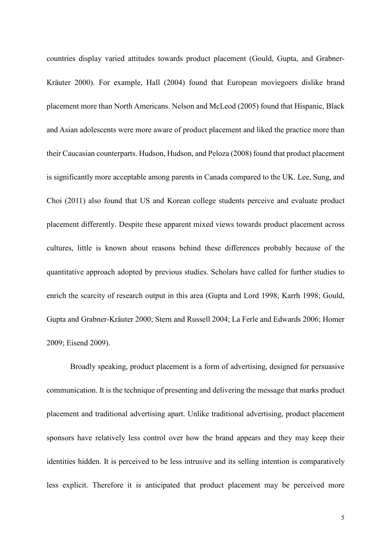countries display varied attitudes towards product placement (Gould, Gupta, and Grabner-Kräuter 2000). For example, Hall (2004) found that European moviegoers dislike brand placement more than North Americans. Nelson and McLeod (2005) found that Hispanic, Black and Asian adolescents were more aware of product placement and liked the practice more than their Caucasian counterparts. Hudson, Hudson, and Peloza (2008) found that product placement is significantly more acceptable among parents in Canada compared to the UK. Lee, Sung, and Choi (2011) also found that US and Korean college students perceive and evaluate product placement differently. Despite these apparent mixed views towards product placement across cultures, little is known about reasons behind these differences probably because of the quantitative approach adopted by previous studies. Scholars have called for further studies to enrich the scarcity of research output in this area (Gupta and Lord 1998; Karrh 1998; Gould, Gupta and Grabner-Kräuter 2000; Stern and Russell 2004; La Ferle and Edwards 2006; Homer 2009; Eisend 2009).

Broadly speaking, product placement is a form of advertising, designed for persuasive communication. It is the technique of presenting and delivering the message that marks product placement and traditional advertising apart. Unlike traditional advertising, product placement sponsors have relatively less control over how the brand appears and they may keep their identities hidden. It is perceived to be less intrusive and its selling intention is comparatively less explicit. Therefore it is anticipated that product placement may be perceived more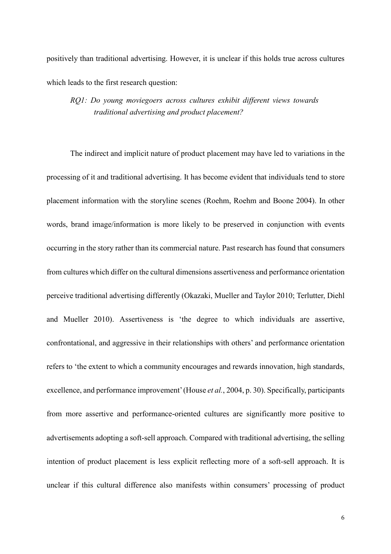positively than traditional advertising. However, it is unclear if this holds true across cultures which leads to the first research question:

*RQ1: Do young moviegoers across cultures exhibit different views towards traditional advertising and product placement?* 

The indirect and implicit nature of product placement may have led to variations in the processing of it and traditional advertising. It has become evident that individuals tend to store placement information with the storyline scenes (Roehm, Roehm and Boone 2004). In other words, brand image/information is more likely to be preserved in conjunction with events occurring in the story rather than its commercial nature. Past research has found that consumers from cultures which differ on the cultural dimensions assertiveness and performance orientation perceive traditional advertising differently (Okazaki, Mueller and Taylor 2010; Terlutter, Diehl and Mueller 2010). Assertiveness is 'the degree to which individuals are assertive, confrontational, and aggressive in their relationships with others' and performance orientation refers to 'the extent to which a community encourages and rewards innovation, high standards, excellence, and performance improvement' (House *et al.*, 2004, p. 30). Specifically, participants from more assertive and performance-oriented cultures are significantly more positive to advertisements adopting a soft-sell approach. Compared with traditional advertising, the selling intention of product placement is less explicit reflecting more of a soft-sell approach. It is unclear if this cultural difference also manifests within consumers' processing of product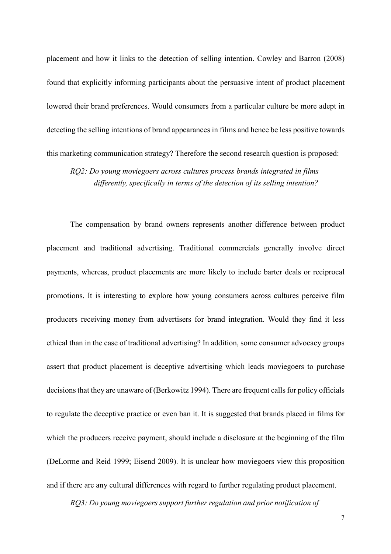placement and how it links to the detection of selling intention. Cowley and Barron (2008) found that explicitly informing participants about the persuasive intent of product placement lowered their brand preferences. Would consumers from a particular culture be more adept in detecting the selling intentions of brand appearances in films and hence be less positive towards this marketing communication strategy? Therefore the second research question is proposed:

*RQ2: Do young moviegoers across cultures process brands integrated in films differently, specifically in terms of the detection of its selling intention?* 

The compensation by brand owners represents another difference between product placement and traditional advertising. Traditional commercials generally involve direct payments, whereas, product placements are more likely to include barter deals or reciprocal promotions. It is interesting to explore how young consumers across cultures perceive film producers receiving money from advertisers for brand integration. Would they find it less ethical than in the case of traditional advertising? In addition, some consumer advocacy groups assert that product placement is deceptive advertising which leads moviegoers to purchase decisions that they are unaware of (Berkowitz 1994). There are frequent calls for policy officials to regulate the deceptive practice or even ban it. It is suggested that brands placed in films for which the producers receive payment, should include a disclosure at the beginning of the film (DeLorme and Reid 1999; Eisend 2009). It is unclear how moviegoers view this proposition and if there are any cultural differences with regard to further regulating product placement.

*RQ3: Do young moviegoers support further regulation and prior notification of*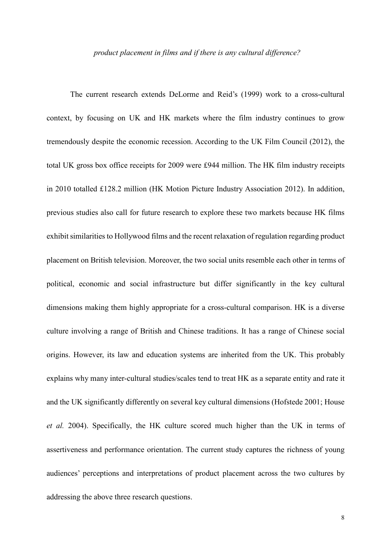#### *product placement in films and if there is any cultural difference?*

The current research extends DeLorme and Reid's (1999) work to a cross-cultural context, by focusing on UK and HK markets where the film industry continues to grow tremendously despite the economic recession. According to the UK Film Council (2012), the total UK gross box office receipts for 2009 were £944 million. The HK film industry receipts in 2010 totalled £128.2 million (HK Motion Picture Industry Association 2012). In addition, previous studies also call for future research to explore these two markets because HK films exhibit similarities to Hollywood films and the recent relaxation of regulation regarding product placement on British television. Moreover, the two social units resemble each other in terms of political, economic and social infrastructure but differ significantly in the key cultural dimensions making them highly appropriate for a cross-cultural comparison. HK is a diverse culture involving a range of British and Chinese traditions. It has a range of Chinese social origins. However, its law and education systems are inherited from the UK. This probably explains why many inter-cultural studies/scales tend to treat HK as a separate entity and rate it and the UK significantly differently on several key cultural dimensions (Hofstede 2001; House *et al.* 2004). Specifically, the HK culture scored much higher than the UK in terms of assertiveness and performance orientation. The current study captures the richness of young audiences' perceptions and interpretations of product placement across the two cultures by addressing the above three research questions.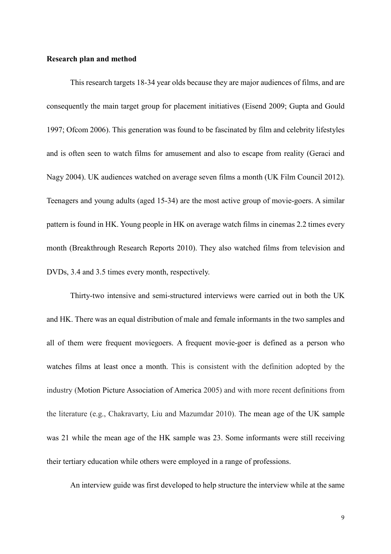#### **Research plan and method**

This research targets 18-34 year olds because they are major audiences of films, and are consequently the main target group for placement initiatives (Eisend 2009; Gupta and Gould 1997; Ofcom 2006). This generation was found to be fascinated by film and celebrity lifestyles and is often seen to watch films for amusement and also to escape from reality (Geraci and Nagy 2004). UK audiences watched on average seven films a month (UK Film Council 2012). Teenagers and young adults (aged 15-34) are the most active group of movie-goers. A similar pattern is found in HK. Young people in HK on average watch films in cinemas 2.2 times every month (Breakthrough Research Reports 2010). They also watched films from television and DVDs, 3.4 and 3.5 times every month, respectively.

Thirty-two intensive and semi-structured interviews were carried out in both the UK and HK. There was an equal distribution of male and female informants in the two samples and all of them were frequent moviegoers. A frequent movie-goer is defined as a person who watches films at least once a month. This is consistent with the definition adopted by the industry (Motion Picture Association of America 2005) and with more recent definitions from the literature (e.g., Chakravarty, Liu and Mazumdar 2010). The mean age of the UK sample was 21 while the mean age of the HK sample was 23. Some informants were still receiving their tertiary education while others were employed in a range of professions.

An interview guide was first developed to help structure the interview while at the same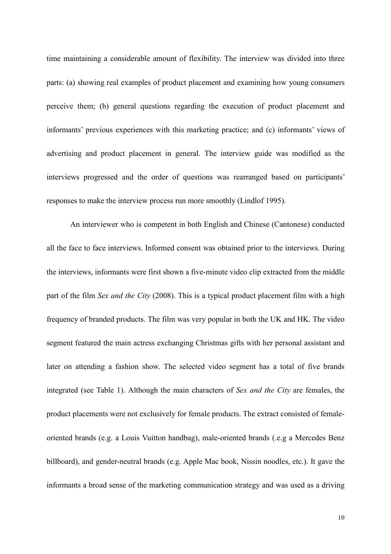time maintaining a considerable amount of flexibility. The interview was divided into three parts: (a) showing real examples of product placement and examining how young consumers perceive them; (b) general questions regarding the execution of product placement and informants' previous experiences with this marketing practice; and (c) informants' views of advertising and product placement in general. The interview guide was modified as the interviews progressed and the order of questions was rearranged based on participants' responses to make the interview process run more smoothly (Lindlof 1995).

An interviewer who is competent in both English and Chinese (Cantonese) conducted all the face to face interviews. Informed consent was obtained prior to the interviews. During the interviews, informants were first shown a five-minute video clip extracted from the middle part of the film *Sex and the City* (2008). This is a typical product placement film with a high frequency of branded products. The film was very popular in both the UK and HK. The video segment featured the main actress exchanging Christmas gifts with her personal assistant and later on attending a fashion show. The selected video segment has a total of five brands integrated (see Table 1). Although the main characters of *Sex and the City* are females, the product placements were not exclusively for female products. The extract consisted of femaleoriented brands (e.g. a Louis Vuitton handbag), male-oriented brands (.e.g a Mercedes Benz billboard), and gender-neutral brands (e.g. Apple Mac book, Nissin noodles, etc.). It gave the informants a broad sense of the marketing communication strategy and was used as a driving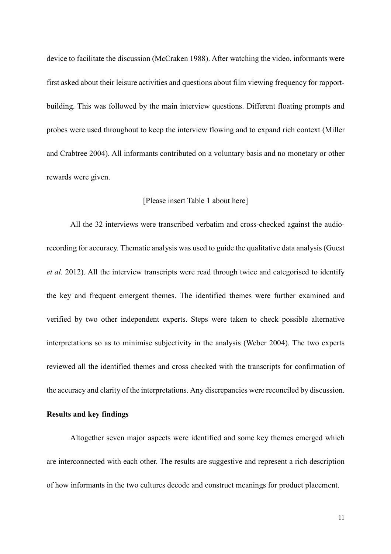device to facilitate the discussion (McCraken 1988). After watching the video, informants were first asked about their leisure activities and questions about film viewing frequency for rapportbuilding. This was followed by the main interview questions. Different floating prompts and probes were used throughout to keep the interview flowing and to expand rich context (Miller and Crabtree 2004). All informants contributed on a voluntary basis and no monetary or other rewards were given.

#### [Please insert Table 1 about here]

All the 32 interviews were transcribed verbatim and cross-checked against the audiorecording for accuracy. Thematic analysis was used to guide the qualitative data analysis (Guest *et al.* 2012). All the interview transcripts were read through twice and categorised to identify the key and frequent emergent themes. The identified themes were further examined and verified by two other independent experts. Steps were taken to check possible alternative interpretations so as to minimise subjectivity in the analysis (Weber 2004). The two experts reviewed all the identified themes and cross checked with the transcripts for confirmation of the accuracy and clarity of the interpretations. Any discrepancies were reconciled by discussion.

#### **Results and key findings**

Altogether seven major aspects were identified and some key themes emerged which are interconnected with each other. The results are suggestive and represent a rich description of how informants in the two cultures decode and construct meanings for product placement.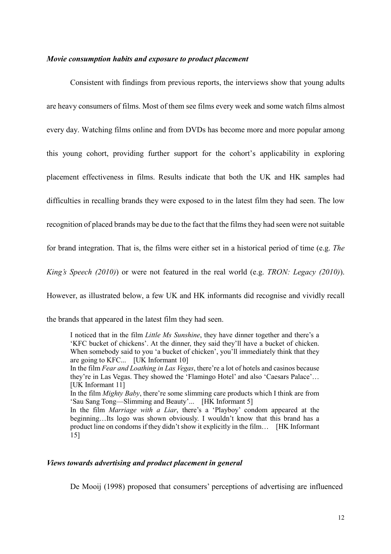#### *Movie consumption habits and exposure to product placement*

Consistent with findings from previous reports, the interviews show that young adults are heavy consumers of films. Most of them see films every week and some watch films almost every day. Watching films online and from DVDs has become more and more popular among this young cohort, providing further support for the cohort's applicability in exploring placement effectiveness in films. Results indicate that both the UK and HK samples had difficulties in recalling brands they were exposed to in the latest film they had seen. The low recognition of placed brands may be due to the fact that the films they had seen were not suitable for brand integration. That is, the films were either set in a historical period of time (e.g. *The King's Speech (2010)*) or were not featured in the real world (e.g. *TRON: Legacy (2010)*). However, as illustrated below, a few UK and HK informants did recognise and vividly recall the brands that appeared in the latest film they had seen.

I noticed that in the film *Little Ms Sunshine*, they have dinner together and there's a 'KFC bucket of chickens'. At the dinner, they said they'll have a bucket of chicken. When somebody said to you 'a bucket of chicken', you'll immediately think that they are going to KFC... [UK Informant 10] In the film *Fear and Loathing in Las Vegas*, there're a lot of hotels and casinos because they're in Las Vegas. They showed the 'Flamingo Hotel' and also 'Caesars Palace'… [UK Informant 11] In the film *Mighty Baby*, there're some slimming care products which I think are from 'Sau Sang Tong—Slimming and Beauty'... [HK Informant 5] In the film *Marriage with a Liar*, there's a 'Playboy' condom appeared at the beginning…Its logo was shown obviously. I wouldn't know that this brand has a product line on condoms if they didn't show it explicitly in the film…[HK Informant 15]

#### *Views towards advertising and product placement in general*

De Mooij (1998) proposed that consumers' perceptions of advertising are influenced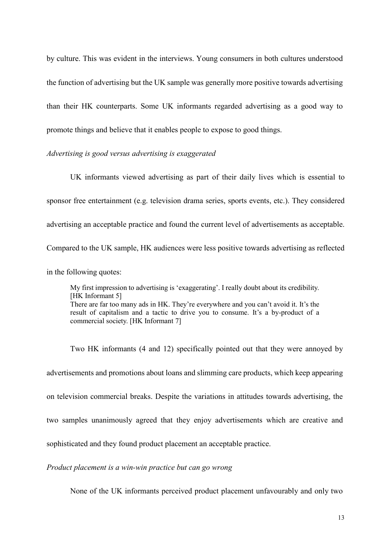by culture. This was evident in the interviews. Young consumers in both cultures understood the function of advertising but the UK sample was generally more positive towards advertising than their HK counterparts. Some UK informants regarded advertising as a good way to promote things and believe that it enables people to expose to good things.

#### *Advertising is good versus advertising is exaggerated*

UK informants viewed advertising as part of their daily lives which is essential to sponsor free entertainment (e.g. television drama series, sports events, etc.). They considered advertising an acceptable practice and found the current level of advertisements as acceptable. Compared to the UK sample, HK audiences were less positive towards advertising as reflected in the following quotes:

My first impression to advertising is 'exaggerating'. I really doubt about its credibility. [HK Informant 5] There are far too many ads in HK. They're everywhere and you can't avoid it. It's the result of capitalism and a tactic to drive you to consume. It's a by-product of a commercial society. [HK Informant 7]

Two HK informants (4 and 12) specifically pointed out that they were annoyed by advertisements and promotions about loans and slimming care products, which keep appearing on television commercial breaks. Despite the variations in attitudes towards advertising, the two samples unanimously agreed that they enjoy advertisements which are creative and sophisticated and they found product placement an acceptable practice.

*Product placement is a win-win practice but can go wrong* 

None of the UK informants perceived product placement unfavourably and only two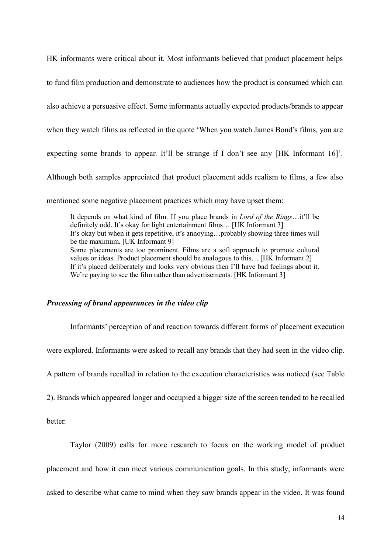HK informants were critical about it. Most informants believed that product placement helps

to fund film production and demonstrate to audiences how the product is consumed which can

also achieve a persuasive effect. Some informants actually expected products/brands to appear

when they watch films as reflected in the quote 'When you watch James Bond's films, you are

expecting some brands to appear. It'll be strange if I don't see any [HK Informant 16]'.

Although both samples appreciated that product placement adds realism to films, a few also

mentioned some negative placement practices which may have upset them:

It depends on what kind of film. If you place brands in *Lord of the Rings*…it'll be definitely odd. It's okay for light entertainment films... [UK Informant 3] It's okay but when it gets repetitive, it's annoying…probably showing three times will be the maximum. [UK Informant 9] Some placements are too prominent. Films are a soft approach to promote cultural values or ideas. Product placement should be analogous to this...  $[HK]$  Informant 2] If it's placed deliberately and looks very obvious then I'll have bad feelings about it. We're paying to see the film rather than advertisements. [HK Informant 3]

#### *Processing of brand appearances in the video clip*

Informants' perception of and reaction towards different forms of placement execution

were explored. Informants were asked to recall any brands that they had seen in the video clip.

A pattern of brands recalled in relation to the execution characteristics was noticed (see Table

2). Brands which appeared longer and occupied a bigger size of the screen tended to be recalled

better.

Taylor (2009) calls for more research to focus on the working model of product

placement and how it can meet various communication goals. In this study, informants were

asked to describe what came to mind when they saw brands appear in the video. It was found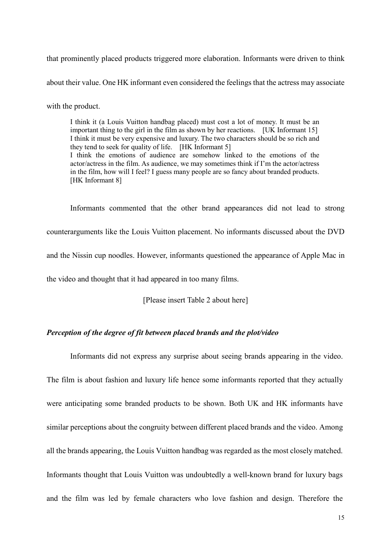that prominently placed products triggered more elaboration. Informants were driven to think

about their value. One HK informant even considered the feelings that the actress may associate

with the product.

I think it (a Louis Vuitton handbag placed) must cost a lot of money. It must be an important thing to the girl in the film as shown by her reactions. [UK Informant 15] I think it must be very expensive and luxury. The two characters should be so rich and they tend to seek for quality of life. [HK Informant 5] I think the emotions of audience are somehow linked to the emotions of the actor/actress in the film. As audience, we may sometimes think if I'm the actor/actress in the film, how will I feel? I guess many people are so fancy about branded products. [HK Informant 8]

Informants commented that the other brand appearances did not lead to strong counterarguments like the Louis Vuitton placement. No informants discussed about the DVD and the Nissin cup noodles. However, informants questioned the appearance of Apple Mac in the video and thought that it had appeared in too many films.

[Please insert Table 2 about here]

Informants did not express any surprise about seeing brands appearing in the video.

#### *Perception of the degree of fit between placed brands and the plot/video*

The film is about fashion and luxury life hence some informants reported that they actually were anticipating some branded products to be shown. Both UK and HK informants have similar perceptions about the congruity between different placed brands and the video. Among all the brands appearing, the Louis Vuitton handbag was regarded as the most closely matched. Informants thought that Louis Vuitton was undoubtedly a well-known brand for luxury bags and the film was led by female characters who love fashion and design. Therefore the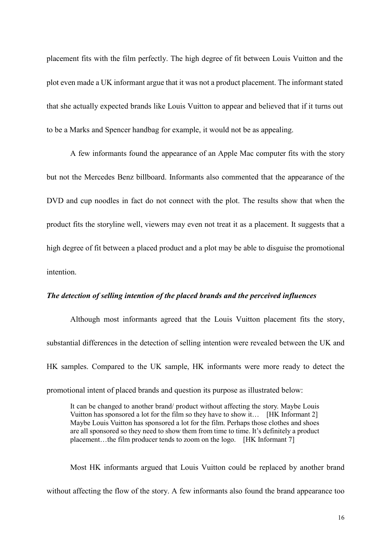placement fits with the film perfectly. The high degree of fit between Louis Vuitton and the plot even made a UK informant argue that it was not a product placement. The informant stated that she actually expected brands like Louis Vuitton to appear and believed that if it turns out to be a Marks and Spencer handbag for example, it would not be as appealing.

A few informants found the appearance of an Apple Mac computer fits with the story but not the Mercedes Benz billboard. Informants also commented that the appearance of the DVD and cup noodles in fact do not connect with the plot. The results show that when the product fits the storyline well, viewers may even not treat it as a placement. It suggests that a high degree of fit between a placed product and a plot may be able to disguise the promotional intention.

#### *The detection of selling intention of the placed brands and the perceived influences*

Although most informants agreed that the Louis Vuitton placement fits the story, substantial differences in the detection of selling intention were revealed between the UK and HK samples. Compared to the UK sample, HK informants were more ready to detect the promotional intent of placed brands and question its purpose as illustrated below:

It can be changed to another brand/ product without affecting the story. Maybe Louis Vuitton has sponsored a lot for the film so they have to show it… [HK Informant 2] Maybe Louis Vuitton has sponsored a lot for the film. Perhaps those clothes and shoes are all sponsored so they need to show them from time to time. It's definitely a product placement…the film producer tends to zoom on the logo. [HK Informant 7]

Most HK informants argued that Louis Vuitton could be replaced by another brand without affecting the flow of the story. A few informants also found the brand appearance too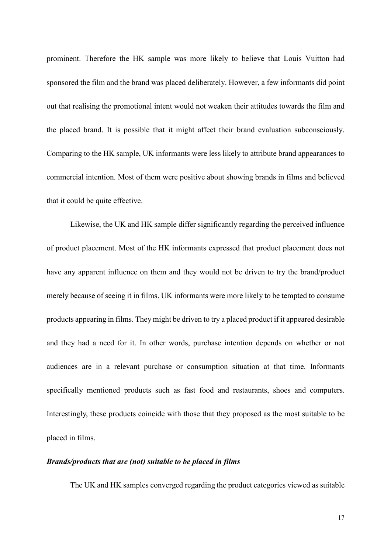prominent. Therefore the HK sample was more likely to believe that Louis Vuitton had sponsored the film and the brand was placed deliberately. However, a few informants did point out that realising the promotional intent would not weaken their attitudes towards the film and the placed brand. It is possible that it might affect their brand evaluation subconsciously. Comparing to the HK sample, UK informants were less likely to attribute brand appearances to commercial intention. Most of them were positive about showing brands in films and believed that it could be quite effective.

Likewise, the UK and HK sample differ significantly regarding the perceived influence of product placement. Most of the HK informants expressed that product placement does not have any apparent influence on them and they would not be driven to try the brand/product merely because of seeing it in films. UK informants were more likely to be tempted to consume products appearing in films. They might be driven to try a placed product if it appeared desirable and they had a need for it. In other words, purchase intention depends on whether or not audiences are in a relevant purchase or consumption situation at that time. Informants specifically mentioned products such as fast food and restaurants, shoes and computers. Interestingly, these products coincide with those that they proposed as the most suitable to be placed in films.

#### *Brands/products that are (not) suitable to be placed in films*

The UK and HK samples converged regarding the product categories viewed as suitable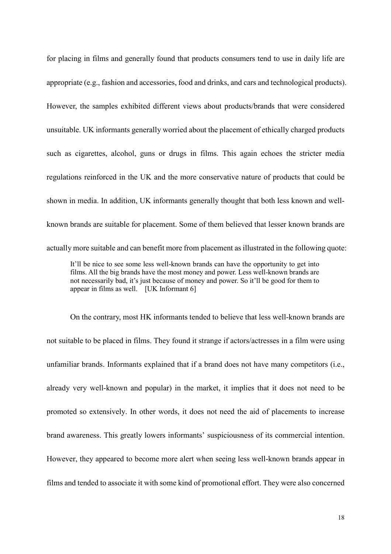for placing in films and generally found that products consumers tend to use in daily life are appropriate (e.g., fashion and accessories, food and drinks, and cars and technological products). However, the samples exhibited different views about products/brands that were considered unsuitable. UK informants generally worried about the placement of ethically charged products such as cigarettes, alcohol, guns or drugs in films. This again echoes the stricter media regulations reinforced in the UK and the more conservative nature of products that could be shown in media. In addition, UK informants generally thought that both less known and wellknown brands are suitable for placement. Some of them believed that lesser known brands are actually more suitable and can benefit more from placement as illustrated in the following quote:

It'll be nice to see some less well-known brands can have the opportunity to get into films. All the big brands have the most money and power. Less well-known brands are not necessarily bad, it's just because of money and power. So it'll be good for them to appear in films as well. [UK Informant 6]

On the contrary, most HK informants tended to believe that less well-known brands are not suitable to be placed in films. They found it strange if actors/actresses in a film were using unfamiliar brands. Informants explained that if a brand does not have many competitors (i.e., already very well-known and popular) in the market, it implies that it does not need to be promoted so extensively. In other words, it does not need the aid of placements to increase brand awareness. This greatly lowers informants' suspiciousness of its commercial intention. However, they appeared to become more alert when seeing less well-known brands appear in films and tended to associate it with some kind of promotional effort. They were also concerned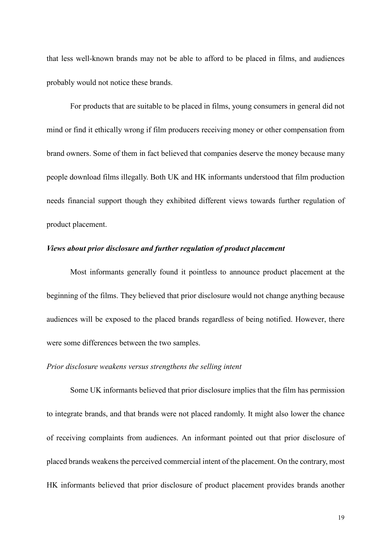that less well-known brands may not be able to afford to be placed in films, and audiences probably would not notice these brands.

For products that are suitable to be placed in films, young consumers in general did not mind or find it ethically wrong if film producers receiving money or other compensation from brand owners. Some of them in fact believed that companies deserve the money because many people download films illegally. Both UK and HK informants understood that film production needs financial support though they exhibited different views towards further regulation of product placement.

#### *Views about prior disclosure and further regulation of product placement*

Most informants generally found it pointless to announce product placement at the beginning of the films. They believed that prior disclosure would not change anything because audiences will be exposed to the placed brands regardless of being notified. However, there were some differences between the two samples.

#### *Prior disclosure weakens versus strengthens the selling intent*

Some UK informants believed that prior disclosure implies that the film has permission to integrate brands, and that brands were not placed randomly. It might also lower the chance of receiving complaints from audiences. An informant pointed out that prior disclosure of placed brands weakens the perceived commercial intent of the placement. On the contrary, most HK informants believed that prior disclosure of product placement provides brands another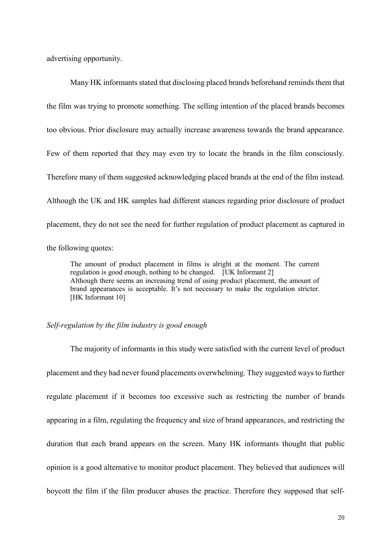advertising opportunity.

Many HK informants stated that disclosing placed brands beforehand reminds them that the film was trying to promote something. The selling intention of the placed brands becomes too obvious. Prior disclosure may actually increase awareness towards the brand appearance. Few of them reported that they may even try to locate the brands in the film consciously. Therefore many of them suggested acknowledging placed brands at the end of the film instead. Although the UK and HK samples had different stances regarding prior disclosure of product placement, they do not see the need for further regulation of product placement as captured in the following quotes:

The amount of product placement in films is alright at the moment. The current regulation is good enough, nothing to be changed. [UK Informant 2] Although there seems an increasing trend of using product placement, the amount of brand appearances is acceptable. It's not necessary to make the regulation stricter. [HK Informant 10]

#### *Self-regulation by the film industry is good enough*

The majority of informants in this study were satisfied with the current level of product placement and they had never found placements overwhelming. They suggested ways to further regulate placement if it becomes too excessive such as restricting the number of brands appearing in a film, regulating the frequency and size of brand appearances, and restricting the duration that each brand appears on the screen. Many HK informants thought that public opinion is a good alternative to monitor product placement. They believed that audiences will boycott the film if the film producer abuses the practice. Therefore they supposed that self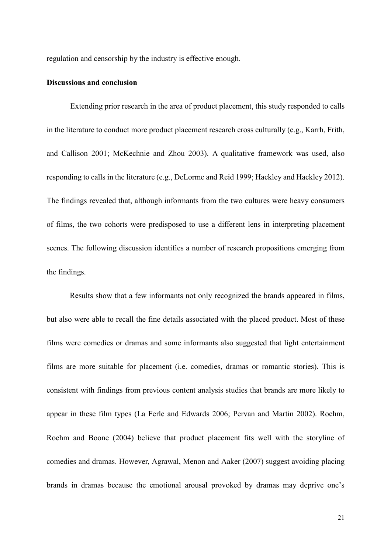regulation and censorship by the industry is effective enough.

#### **Discussions and conclusion**

Extending prior research in the area of product placement, this study responded to calls in the literature to conduct more product placement research cross culturally (e.g., Karrh, Frith, and Callison 2001; McKechnie and Zhou 2003). A qualitative framework was used, also responding to calls in the literature (e.g., DeLorme and Reid 1999; Hackley and Hackley 2012). The findings revealed that, although informants from the two cultures were heavy consumers of films, the two cohorts were predisposed to use a different lens in interpreting placement scenes. The following discussion identifies a number of research propositions emerging from the findings.

Results show that a few informants not only recognized the brands appeared in films, but also were able to recall the fine details associated with the placed product. Most of these films were comedies or dramas and some informants also suggested that light entertainment films are more suitable for placement (i.e. comedies, dramas or romantic stories). This is consistent with findings from previous content analysis studies that brands are more likely to appear in these film types (La Ferle and Edwards 2006; Pervan and Martin 2002). Roehm, Roehm and Boone (2004) believe that product placement fits well with the storyline of comedies and dramas. However, Agrawal, Menon and Aaker (2007) suggest avoiding placing brands in dramas because the emotional arousal provoked by dramas may deprive one's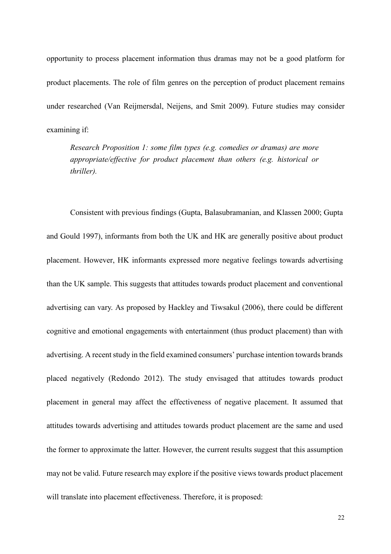opportunity to process placement information thus dramas may not be a good platform for product placements. The role of film genres on the perception of product placement remains under researched (Van Reijmersdal, Neijens, and Smit 2009). Future studies may consider examining if:

*Research Proposition 1: some film types (e.g. comedies or dramas) are more appropriate/effective for product placement than others (e.g. historical or thriller).* 

Consistent with previous findings (Gupta, Balasubramanian, and Klassen 2000; Gupta and Gould 1997), informants from both the UK and HK are generally positive about product placement. However, HK informants expressed more negative feelings towards advertising than the UK sample. This suggests that attitudes towards product placement and conventional advertising can vary. As proposed by Hackley and Tiwsakul (2006), there could be different cognitive and emotional engagements with entertainment (thus product placement) than with advertising. A recent study in the field examined consumers' purchase intention towards brands placed negatively (Redondo 2012). The study envisaged that attitudes towards product placement in general may affect the effectiveness of negative placement. It assumed that attitudes towards advertising and attitudes towards product placement are the same and used the former to approximate the latter. However, the current results suggest that this assumption may not be valid. Future research may explore if the positive views towards product placement will translate into placement effectiveness. Therefore, it is proposed: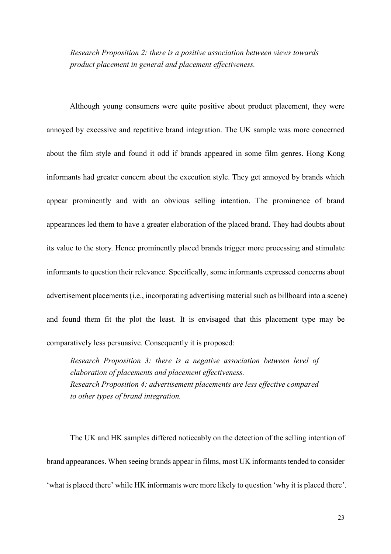*Research Proposition 2: there is a positive association between views towards product placement in general and placement effectiveness.* 

Although young consumers were quite positive about product placement, they were annoyed by excessive and repetitive brand integration. The UK sample was more concerned about the film style and found it odd if brands appeared in some film genres. Hong Kong informants had greater concern about the execution style. They get annoyed by brands which appear prominently and with an obvious selling intention. The prominence of brand appearances led them to have a greater elaboration of the placed brand. They had doubts about its value to the story. Hence prominently placed brands trigger more processing and stimulate informants to question their relevance. Specifically, some informants expressed concerns about advertisement placements (i.e., incorporating advertising material such as billboard into a scene) and found them fit the plot the least. It is envisaged that this placement type may be comparatively less persuasive. Consequently it is proposed:

*Research Proposition 3: there is a negative association between level of elaboration of placements and placement effectiveness. Research Proposition 4: advertisement placements are less effective compared to other types of brand integration.* 

The UK and HK samples differed noticeably on the detection of the selling intention of brand appearances. When seeing brands appear in films, most UK informants tended to consider 'what is placed there' while HK informants were more likely to question 'why it is placed there'.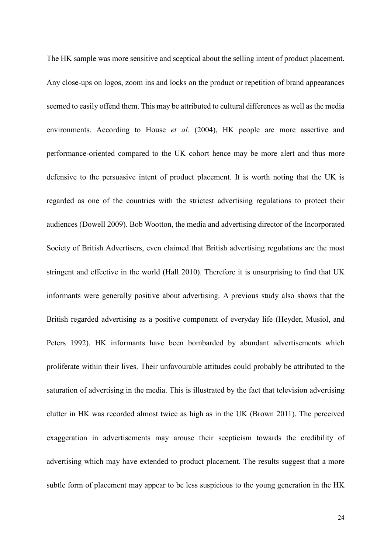The HK sample was more sensitive and sceptical about the selling intent of product placement. Any close-ups on logos, zoom ins and locks on the product or repetition of brand appearances seemed to easily offend them. This may be attributed to cultural differences as well as the media environments. According to House *et al.* (2004), HK people are more assertive and performance-oriented compared to the UK cohort hence may be more alert and thus more defensive to the persuasive intent of product placement. It is worth noting that the UK is regarded as one of the countries with the strictest advertising regulations to protect their audiences (Dowell 2009). Bob Wootton, the media and advertising director of the Incorporated Society of British Advertisers, even claimed that British advertising regulations are the most stringent and effective in the world (Hall 2010). Therefore it is unsurprising to find that UK informants were generally positive about advertising. A previous study also shows that the British regarded advertising as a positive component of everyday life (Heyder, Musiol, and Peters 1992). HK informants have been bombarded by abundant advertisements which proliferate within their lives. Their unfavourable attitudes could probably be attributed to the saturation of advertising in the media. This is illustrated by the fact that television advertising clutter in HK was recorded almost twice as high as in the UK (Brown 2011). The perceived exaggeration in advertisements may arouse their scepticism towards the credibility of advertising which may have extended to product placement. The results suggest that a more subtle form of placement may appear to be less suspicious to the young generation in the HK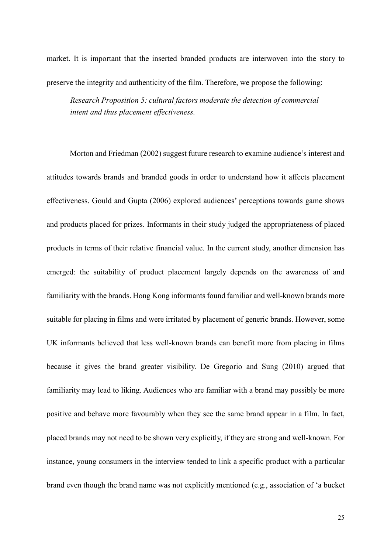market. It is important that the inserted branded products are interwoven into the story to preserve the integrity and authenticity of the film. Therefore, we propose the following:

*Research Proposition 5: cultural factors moderate the detection of commercial intent and thus placement effectiveness.* 

Morton and Friedman (2002) suggest future research to examine audience's interest and attitudes towards brands and branded goods in order to understand how it affects placement effectiveness. Gould and Gupta (2006) explored audiences' perceptions towards game shows and products placed for prizes. Informants in their study judged the appropriateness of placed products in terms of their relative financial value. In the current study, another dimension has emerged: the suitability of product placement largely depends on the awareness of and familiarity with the brands. Hong Kong informants found familiar and well-known brands more suitable for placing in films and were irritated by placement of generic brands. However, some UK informants believed that less well-known brands can benefit more from placing in films because it gives the brand greater visibility. De Gregorio and Sung (2010) argued that familiarity may lead to liking. Audiences who are familiar with a brand may possibly be more positive and behave more favourably when they see the same brand appear in a film. In fact, placed brands may not need to be shown very explicitly, if they are strong and well-known. For instance, young consumers in the interview tended to link a specific product with a particular brand even though the brand name was not explicitly mentioned (e.g., association of 'a bucket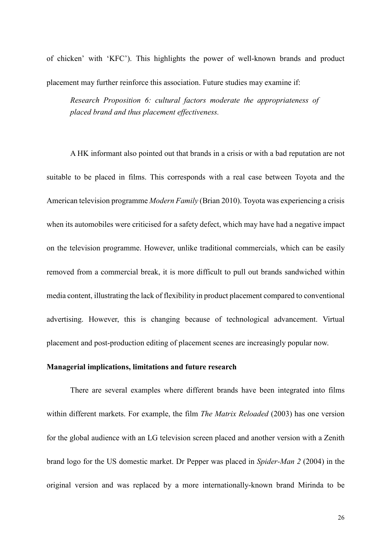of chicken' with 'KFC'). This highlights the power of well-known brands and product

*Research Proposition 6: cultural factors moderate the appropriateness of placed brand and thus placement effectiveness.* 

placement may further reinforce this association. Future studies may examine if:

A HK informant also pointed out that brands in a crisis or with a bad reputation are not suitable to be placed in films. This corresponds with a real case between Toyota and the American television programme *Modern Family* (Brian 2010). Toyota was experiencing a crisis when its automobiles were criticised for a safety defect, which may have had a negative impact on the television programme. However, unlike traditional commercials, which can be easily removed from a commercial break, it is more difficult to pull out brands sandwiched within media content, illustrating the lack of flexibility in product placement compared to conventional advertising. However, this is changing because of technological advancement. Virtual placement and post-production editing of placement scenes are increasingly popular now.

#### **Managerial implications, limitations and future research**

There are several examples where different brands have been integrated into films within different markets. For example, the film *The Matrix Reloaded* (2003) has one version for the global audience with an LG television screen placed and another version with a Zenith brand logo for the US domestic market. Dr Pepper was placed in *Spider-Man 2* (2004) in the original version and was replaced by a more internationally-known brand Mirinda to be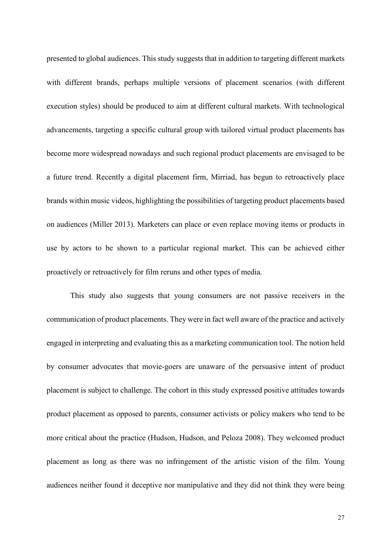presented to global audiences. This study suggests that in addition to targeting different markets with different brands, perhaps multiple versions of placement scenarios (with different execution styles) should be produced to aim at different cultural markets. With technological advancements, targeting a specific cultural group with tailored virtual product placements has become more widespread nowadays and such regional product placements are envisaged to be a future trend. Recently a digital placement firm, Mirriad, has begun to retroactively place brands within music videos, highlighting the possibilities of targeting product placements based on audiences (Miller 2013). Marketers can place or even replace moving items or products in use by actors to be shown to a particular regional market. This can be achieved either proactively or retroactively for film reruns and other types of media.

This study also suggests that young consumers are not passive receivers in the communication of product placements. They were in fact well aware of the practice and actively engaged in interpreting and evaluating this as a marketing communication tool. The notion held by consumer advocates that movie-goers are unaware of the persuasive intent of product placement is subject to challenge. The cohort in this study expressed positive attitudes towards product placement as opposed to parents, consumer activists or policy makers who tend to be more critical about the practice (Hudson, Hudson, and Peloza 2008). They welcomed product placement as long as there was no infringement of the artistic vision of the film. Young audiences neither found it deceptive nor manipulative and they did not think they were being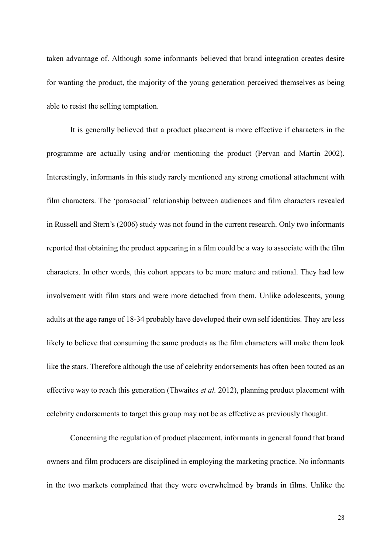taken advantage of. Although some informants believed that brand integration creates desire for wanting the product, the majority of the young generation perceived themselves as being able to resist the selling temptation.

It is generally believed that a product placement is more effective if characters in the programme are actually using and/or mentioning the product (Pervan and Martin 2002). Interestingly, informants in this study rarely mentioned any strong emotional attachment with film characters. The 'parasocial' relationship between audiences and film characters revealed in Russell and Stern's (2006) study was not found in the current research. Only two informants reported that obtaining the product appearing in a film could be a way to associate with the film characters. In other words, this cohort appears to be more mature and rational. They had low involvement with film stars and were more detached from them. Unlike adolescents, young adults at the age range of 18-34 probably have developed their own self identities. They are less likely to believe that consuming the same products as the film characters will make them look like the stars. Therefore although the use of celebrity endorsements has often been touted as an effective way to reach this generation (Thwaites *et al.* 2012), planning product placement with celebrity endorsements to target this group may not be as effective as previously thought.

Concerning the regulation of product placement, informants in general found that brand owners and film producers are disciplined in employing the marketing practice. No informants in the two markets complained that they were overwhelmed by brands in films. Unlike the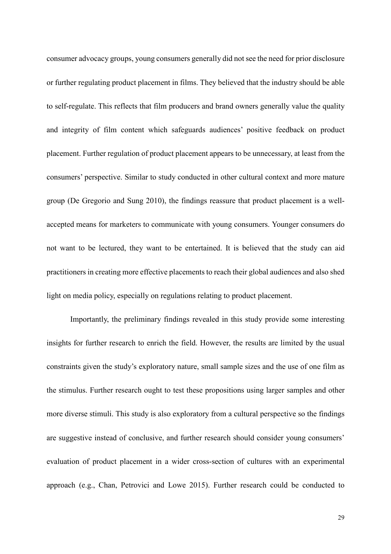consumer advocacy groups, young consumers generally did not see the need for prior disclosure or further regulating product placement in films. They believed that the industry should be able to self-regulate. This reflects that film producers and brand owners generally value the quality and integrity of film content which safeguards audiences' positive feedback on product placement. Further regulation of product placement appears to be unnecessary, at least from the consumers' perspective. Similar to study conducted in other cultural context and more mature group (De Gregorio and Sung 2010), the findings reassure that product placement is a wellaccepted means for marketers to communicate with young consumers. Younger consumers do not want to be lectured, they want to be entertained. It is believed that the study can aid practitioners in creating more effective placements to reach their global audiences and also shed light on media policy, especially on regulations relating to product placement.

Importantly, the preliminary findings revealed in this study provide some interesting insights for further research to enrich the field. However, the results are limited by the usual constraints given the study's exploratory nature, small sample sizes and the use of one film as the stimulus. Further research ought to test these propositions using larger samples and other more diverse stimuli. This study is also exploratory from a cultural perspective so the findings are suggestive instead of conclusive, and further research should consider young consumers' evaluation of product placement in a wider cross-section of cultures with an experimental approach (e.g., Chan, Petrovici and Lowe 2015). Further research could be conducted to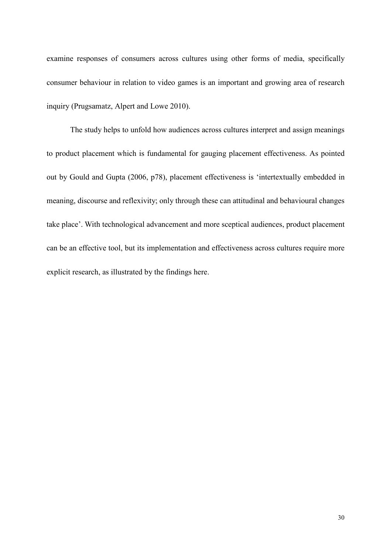examine responses of consumers across cultures using other forms of media, specifically consumer behaviour in relation to video games is an important and growing area of research inquiry (Prugsamatz, Alpert and Lowe 2010).

The study helps to unfold how audiences across cultures interpret and assign meanings to product placement which is fundamental for gauging placement effectiveness. As pointed out by Gould and Gupta (2006, p78), placement effectiveness is 'intertextually embedded in meaning, discourse and reflexivity; only through these can attitudinal and behavioural changes take place'. With technological advancement and more sceptical audiences, product placement can be an effective tool, but its implementation and effectiveness across cultures require more explicit research, as illustrated by the findings here.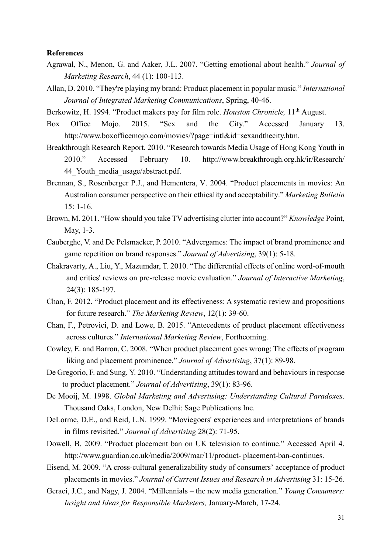#### **References**

- Agrawal, N., Menon, G. and Aaker, J.L. 2007. "Getting emotional about health." *Journal of Marketing Research*, 44 (1): 100-113.
- Allan, D. 2010. "They're playing my brand: Product placement in popular music." *International Journal of Integrated Marketing Communications*, Spring, 40-46.
- Berkowitz, H. 1994. "Product makers pay for film role. *Houston Chronicle*, 11<sup>th</sup> August.
- Box Office Mojo. 2015. "Sex and the City." Accessed January 13. http://www.boxofficemojo.com/movies/?page=intl&id=sexandthecity.htm.
- Breakthrough Research Report. 2010. "Research towards Media Usage of Hong Kong Youth in 2010." Accessed February 10. http://www.breakthrough.org.hk/ir/Research/ 44 Youth media usage/abstract.pdf.
- Brennan, S., Rosenberger P.J., and Hementera, V. 2004. "Product placements in movies: An Australian consumer perspective on their ethicality and acceptability." *Marketing Bulletin*  $15: 1-16$
- Brown, M. 2011. "How should you take TV advertising clutter into account?" *Knowledge* Point, May, 1-3.
- Cauberghe, V. and De Pelsmacker, P. 2010. "Advergames: The impact of brand prominence and game repetition on brand responses." *Journal of Advertising*, 39(1): 5-18.
- Chakravarty, A., Liu, Y., Mazumdar, T. 2010. "The differential effects of online word-of-mouth and critics' reviews on pre-release movie evaluation." *Journal of Interactive Marketing*, 24(3): 185-197.
- Chan, F. 2012. "Product placement and its effectiveness: A systematic review and propositions for future research." *The Marketing Review*, 12(1): 39-60.
- Chan, F., Petrovici, D. and Lowe, B. 2015. "Antecedents of product placement effectiveness across cultures." *International Marketing Review*, Forthcoming.
- Cowley, E. and Barron, C. 2008. "When product placement goes wrong: The effects of program liking and placement prominence." *Journal of Advertising*, 37(1): 89-98.
- De Gregorio, F. and Sung, Y. 2010. "Understanding attitudes toward and behaviours in response to product placement." *Journal of Advertising*, 39(1): 83-96.
- De Mooij, M. 1998. *Global Marketing and Advertising: Understanding Cultural Paradoxes*. Thousand Oaks, London, New Delhi: Sage Publications Inc.
- DeLorme, D.E., and Reid, L.N. 1999. "Moviegoers' experiences and interpretations of brands in films revisited." *Journal of Advertising* 28(2): 71-95.
- Dowell, B. 2009. "Product placement ban on UK television to continue." Accessed April 4. http://www.guardian.co.uk/media/2009/mar/11/product- placement-ban-continues.
- Eisend, M. 2009. "A cross-cultural generalizability study of consumers' acceptance of product placements in movies." *Journal of Current Issues and Research in Advertising* 31: 15-26.
- Geraci, J.C., and Nagy, J. 2004. "Millennials the new media generation." *Young Consumers: Insight and Ideas for Responsible Marketers,* January-March, 17-24.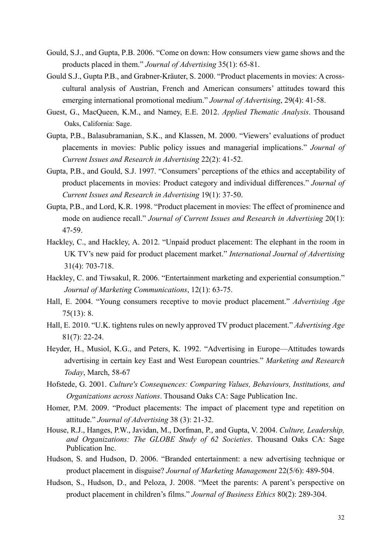- Gould, S.J., and Gupta, P.B. 2006. "Come on down: How consumers view game shows and the products placed in them." *Journal of Advertising* 35(1): 65-81.
- Gould S.J., Gupta P.B., and Grabner-Kräuter, S. 2000. "Product placements in movies: A crosscultural analysis of Austrian, French and American consumers' attitudes toward this emerging international promotional medium." *Journal of Advertising*, 29(4): 41-58.
- Guest, G., MacQueen, K.M., and Namey, E.E. 2012. *Applied Thematic Analysis*. Thousand Oaks, California: Sage.
- Gupta, P.B., Balasubramanian, S.K., and Klassen, M. 2000. "Viewers' evaluations of product placements in movies: Public policy issues and managerial implications." *Journal of Current Issues and Research in Advertising* 22(2): 41-52.
- Gupta, P.B., and Gould, S.J. 1997. "Consumers' perceptions of the ethics and acceptability of product placements in movies: Product category and individual differences." *Journal of Current Issues and Research in Advertising* 19(1): 37-50.
- Gupta, P.B., and Lord, K.R. 1998. "Product placement in movies: The effect of prominence and mode on audience recall." *Journal of Current Issues and Research in Advertising* 20(1): 47-59.
- Hackley, C., and Hackley, A. 2012. "Unpaid product placement: The elephant in the room in UK TV's new paid for product placement market." *International Journal of Advertising* 31(4): 703-718.
- Hackley, C. and Tiwsakul, R. 2006. "Entertainment marketing and experiential consumption." *Journal of Marketing Communications*, 12(1): 63-75.
- Hall, E. 2004. "Young consumers receptive to movie product placement." *Advertising Age* 75(13): 8.
- Hall, E. 2010. "U.K. tightens rules on newly approved TV product placement." *Advertising Age* 81(7): 22-24.
- Heyder, H., Musiol, K.G., and Peters, K. 1992. "Advertising in Europe—Attitudes towards advertising in certain key East and West European countries." *Marketing and Research Today*, March, 58-67
- Hofstede, G. 2001. *Culture's Consequences: Comparing Values, Behaviours, Institutions, and Organizations across Nations*. Thousand Oaks CA: Sage Publication Inc.
- Homer, P.M. 2009. "Product placements: The impact of placement type and repetition on attitude." *Journal of Advertising* 38 (3): 21-32.
- House, R.J., Hanges, P.W., Javidan, M., Dorfman, P., and Gupta, V. 2004. *Culture, Leadership, and Organizations: The GLOBE Study of 62 Societies*. Thousand Oaks CA: Sage Publication Inc.
- Hudson, S. and Hudson, D. 2006. "Branded entertainment: a new advertising technique or product placement in disguise? *Journal of Marketing Management* 22(5/6): 489-504.
- Hudson, S., Hudson, D., and Peloza, J. 2008. "Meet the parents: A parent's perspective on product placement in children's films." *Journal of Business Ethics* 80(2): 289-304.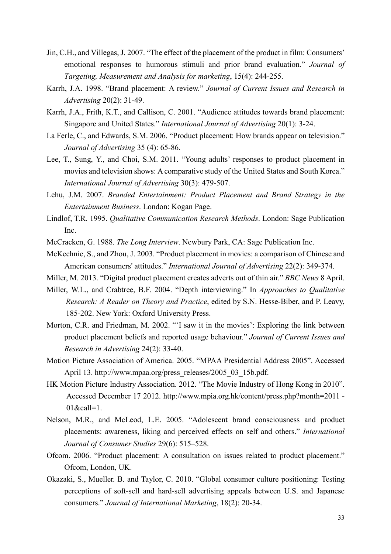- Jin, C.H., and Villegas, J. 2007. "The effect of the placement of the product in film: Consumers' emotional responses to humorous stimuli and prior brand evaluation." *Journal of Targeting, Measurement and Analysis for marketing*, 15(4): 244-255.
- Karrh, J.A. 1998. "Brand placement: A review." *Journal of Current Issues and Research in Advertising* 20(2): 31-49.
- Karrh, J.A., Frith, K.T., and Callison, C. 2001. "Audience attitudes towards brand placement: Singapore and United States." *International Journal of Advertising* 20(1): 3-24.
- La Ferle, C., and Edwards, S.M. 2006. "Product placement: How brands appear on television." *Journal of Advertising* 35 (4): 65-86.
- Lee, T., Sung, Y., and Choi, S.M. 2011. "Young adults' responses to product placement in movies and television shows: A comparative study of the United States and South Korea." *International Journal of Advertising* 30(3): 479-507.
- Lehu, J.M. 2007. *Branded Entertainment: Product Placement and Brand Strategy in the Entertainment Business*. London: Kogan Page.
- Lindlof, T.R. 1995. *Qualitative Communication Research Methods*. London: Sage Publication Inc.
- McCracken, G. 1988. *The Long Interview*. Newbury Park, CA: Sage Publication Inc.
- McKechnie, S., and Zhou, J. 2003. "Product placement in movies: a comparison of Chinese and American consumers' attitudes." *International Journal of Advertising* 22(2): 349-374.
- Miller, M. 2013. "Digital product placement creates adverts out of thin air." *BBC News* 8 April.
- Miller, W.L., and Crabtree, B.F. 2004. "Depth interviewing." In *Approaches to Qualitative Research: A Reader on Theory and Practice*, edited by S.N. Hesse-Biber, and P. Leavy, 185-202. New York: Oxford University Press.
- Morton, C.R. and Friedman, M. 2002. "'I saw it in the movies': Exploring the link between product placement beliefs and reported usage behaviour." *Journal of Current Issues and Research in Advertising* 24(2): 33-40.
- Motion Picture Association of America. 2005. "MPAA Presidential Address 2005". Accessed April 13. http://www.mpaa.org/press\_releases/2005\_03\_15b.pdf.
- HK Motion Picture Industry Association. 2012. "The Movie Industry of Hong Kong in 2010". Accessed December 17 2012. http://www.mpia.org.hk/content/press.php?month=2011 -  $01$ &call=1.
- Nelson, M.R., and McLeod, L.E. 2005. "Adolescent brand consciousness and product placements: awareness, liking and perceived effects on self and others." *International Journal of Consumer Studies* 29(6): 515–528.
- Ofcom. 2006. "Product placement: A consultation on issues related to product placement." Ofcom, London, UK.
- Okazaki, S., Mueller. B. and Taylor, C. 2010. "Global consumer culture positioning: Testing perceptions of soft-sell and hard-sell advertising appeals between U.S. and Japanese consumers." *Journal of International Marketing*, 18(2): 20-34.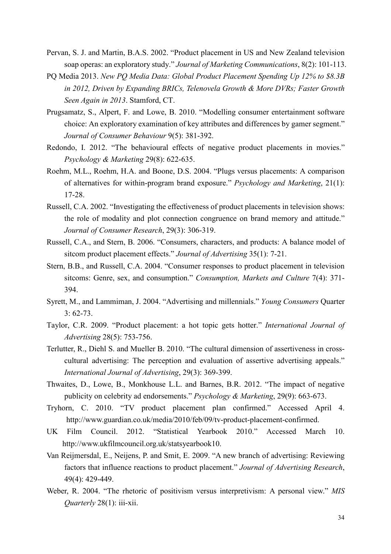- Pervan, S. J. and Martin, B.A.S. 2002. "Product placement in US and New Zealand television soap operas: an exploratory study." *Journal of Marketing Communications*, 8(2): 101-113.
- PQ Media 2013. *New PQ Media Data: Global Product Placement Spending Up 12% to \$8.3B in 2012, Driven by Expanding BRICs, Telenovela Growth & More DVRs; Faster Growth Seen Again in 2013*. Stamford, CT.
- Prugsamatz, S., Alpert, F. and Lowe, B. 2010. "Modelling consumer entertainment software choice: An exploratory examination of key attributes and differences by gamer segment." *Journal of Consumer Behaviour* 9(5): 381-392.
- Redondo, I. 2012. "The behavioural effects of negative product placements in movies." *Psychology & Marketing* 29(8): 622-635.
- Roehm, M.L., Roehm, H.A. and Boone, D.S. 2004. "Plugs versus placements: A comparison of alternatives for within-program brand exposure." *Psychology and Marketing*, 21(1): 17-28.
- Russell, C.A. 2002. "Investigating the effectiveness of product placements in television shows: the role of modality and plot connection congruence on brand memory and attitude." *Journal of Consumer Research*, 29(3): 306-319.
- Russell, C.A., and Stern, B. 2006. "Consumers, characters, and products: A balance model of sitcom product placement effects." *Journal of Advertising* 35(1): 7-21.
- Stern, B.B., and Russell, C.A. 2004. "Consumer responses to product placement in television sitcoms: Genre, sex, and consumption." *Consumption, Markets and Culture* 7(4): 371- 394.
- Syrett, M., and Lammiman, J. 2004. "Advertising and millennials." *Young Consumers* Quarter 3: 62-73.
- Taylor, C.R. 2009. "Product placement: a hot topic gets hotter." *International Journal of Advertising* 28(5): 753-756.
- Terlutter, R., Diehl S. and Mueller B. 2010. "The cultural dimension of assertiveness in crosscultural advertising: The perception and evaluation of assertive advertising appeals." *International Journal of Advertising*, 29(3): 369-399.
- Thwaites, D., Lowe, B., Monkhouse L.L. and Barnes, B.R. 2012. "The impact of negative publicity on celebrity ad endorsements." *Psychology & Marketing*, 29(9): 663-673.
- Tryhorn, C. 2010. "TV product placement plan confirmed." Accessed April 4. http://www.guardian.co.uk/media/2010/feb/09/tv-product-placement-confirmed.
- UK Film Council. 2012. "Statistical Yearbook 2010." Accessed March 10. http://www.ukfilmcouncil.org.uk/statsyearbook10.
- Van Reijmersdal, E., Neijens, P. and Smit, E. 2009. "A new branch of advertising: Reviewing factors that influence reactions to product placement." *Journal of Advertising Research*, 49(4): 429-449.
- Weber, R. 2004. "The rhetoric of positivism versus interpretivism: A personal view." *MIS Quarterly* 28(1): iii-xii.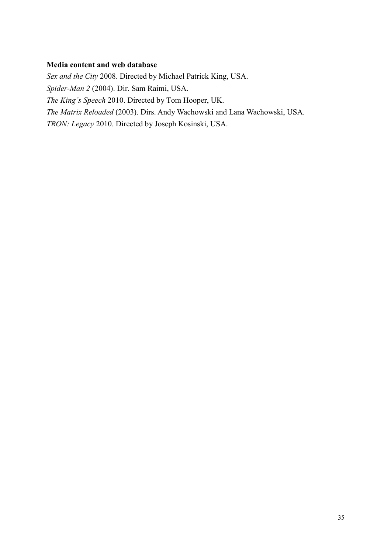#### **Media content and web database**

*Sex and the City* 2008. Directed by Michael Patrick King, USA. *Spider-Man 2* (2004). Dir. Sam Raimi, USA. *The King's Speech* 2010. Directed by Tom Hooper, UK. *The Matrix Reloaded* (2003). Dirs. Andy Wachowski and Lana Wachowski, USA. *TRON: Legacy* 2010. Directed by Joseph Kosinski, USA.